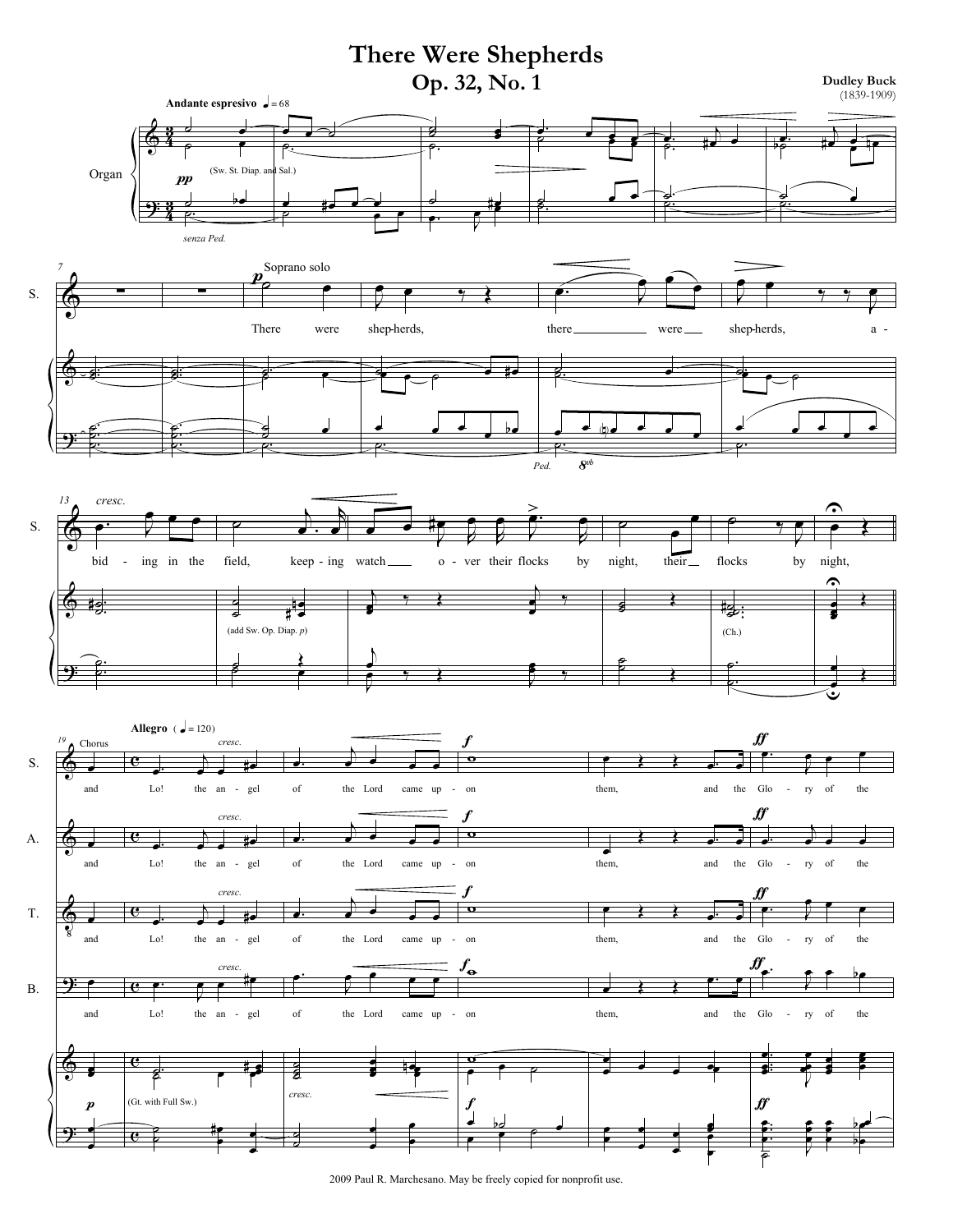

2009 Paul R. Marchesano. May be freely copied for nonprofit use.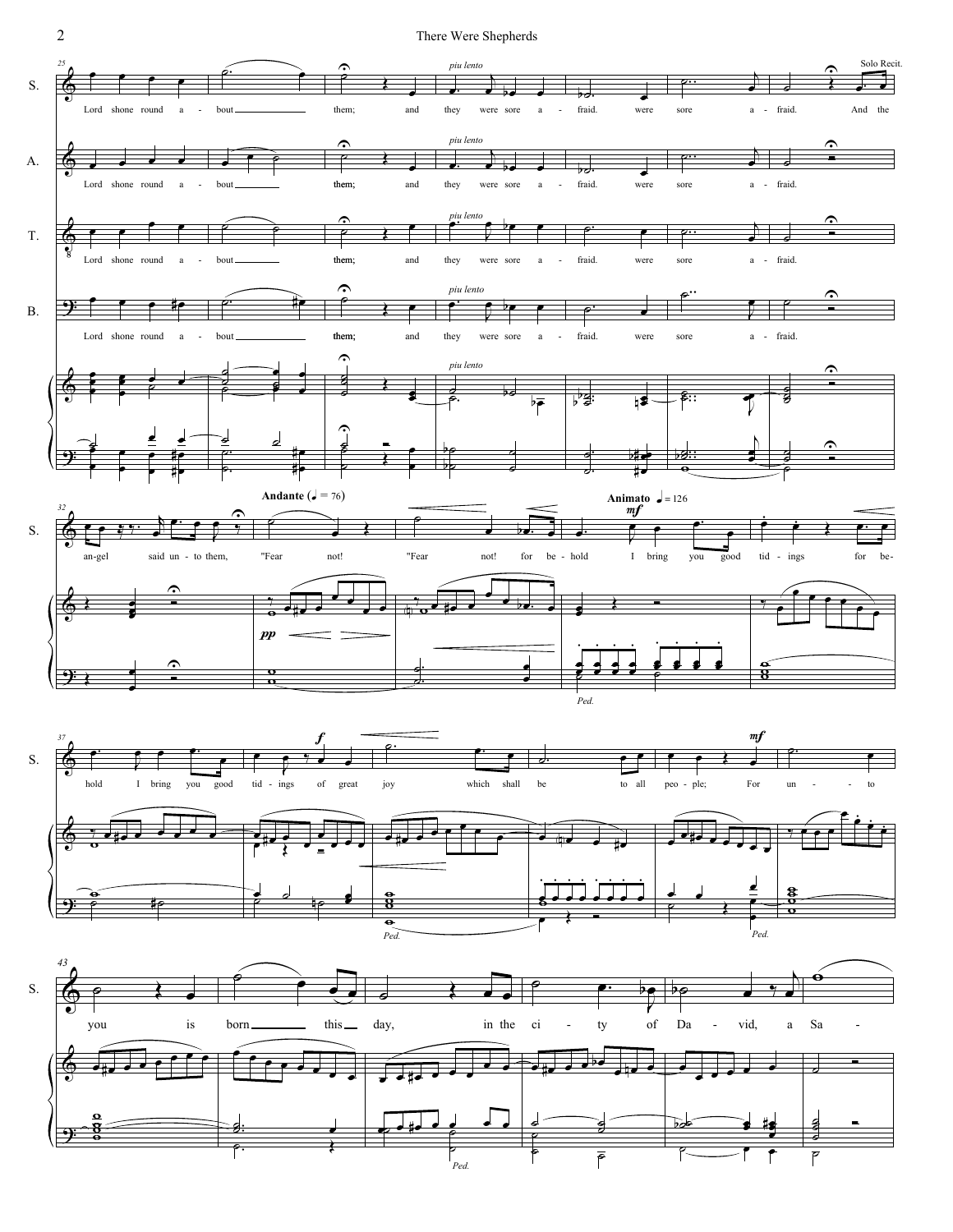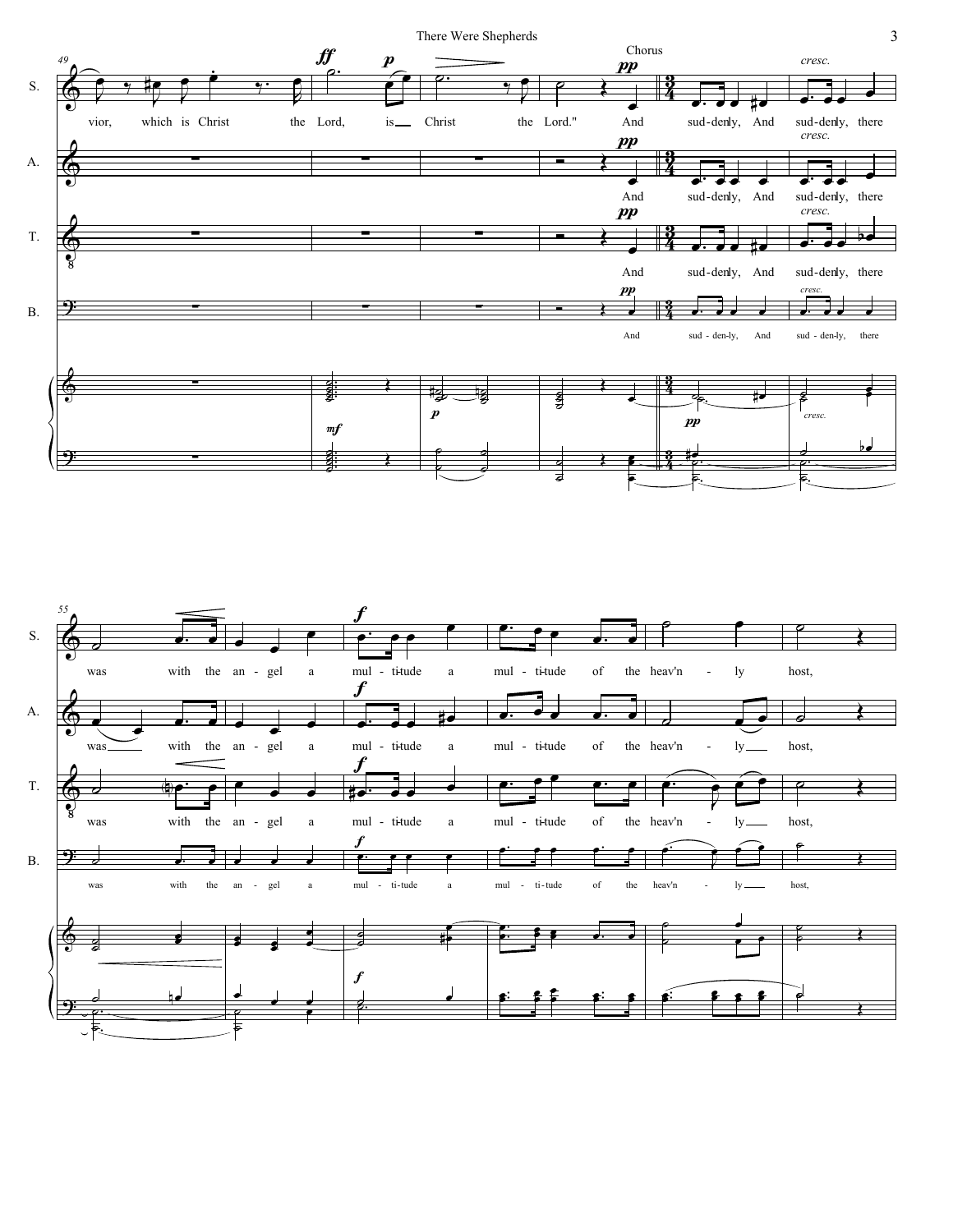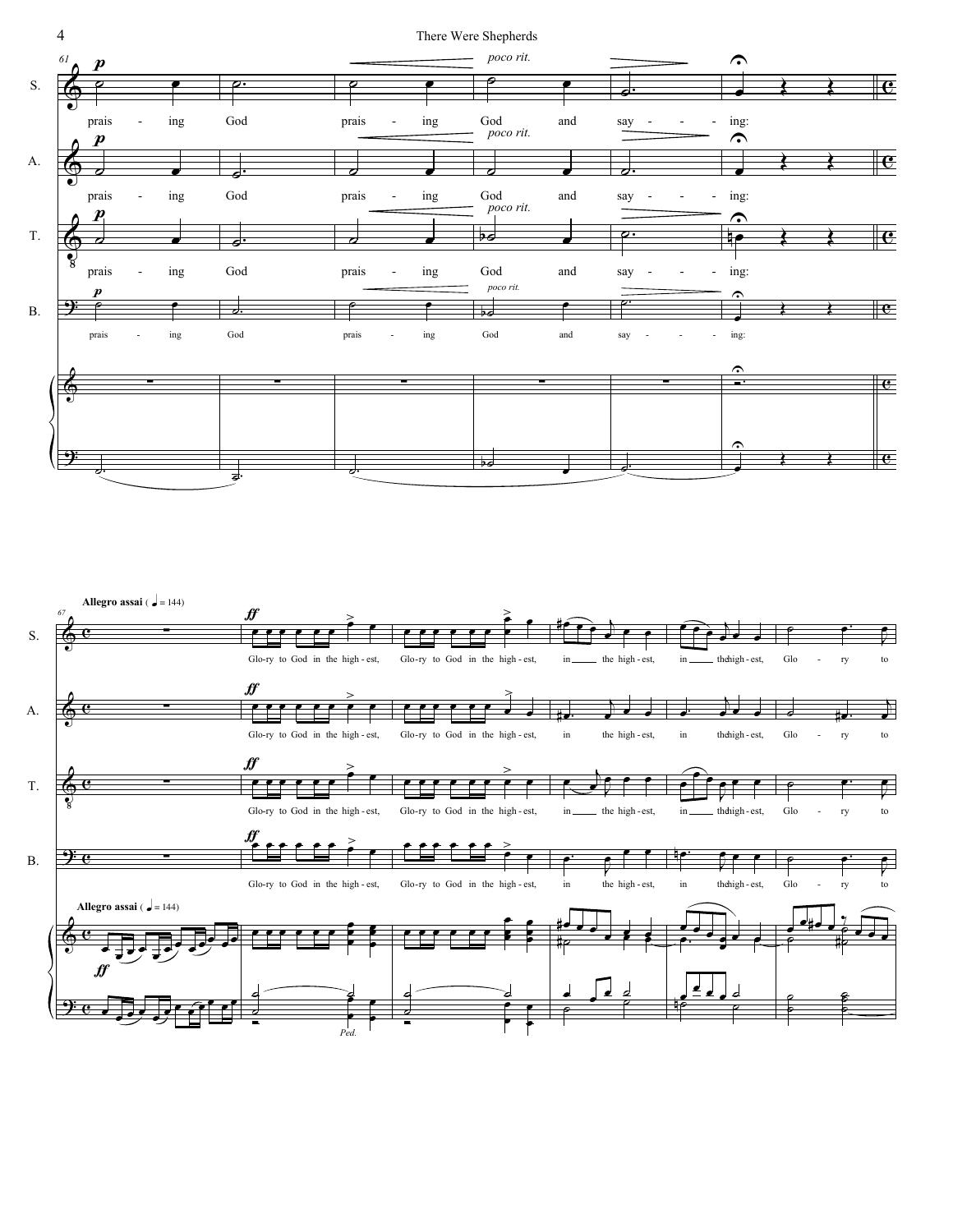

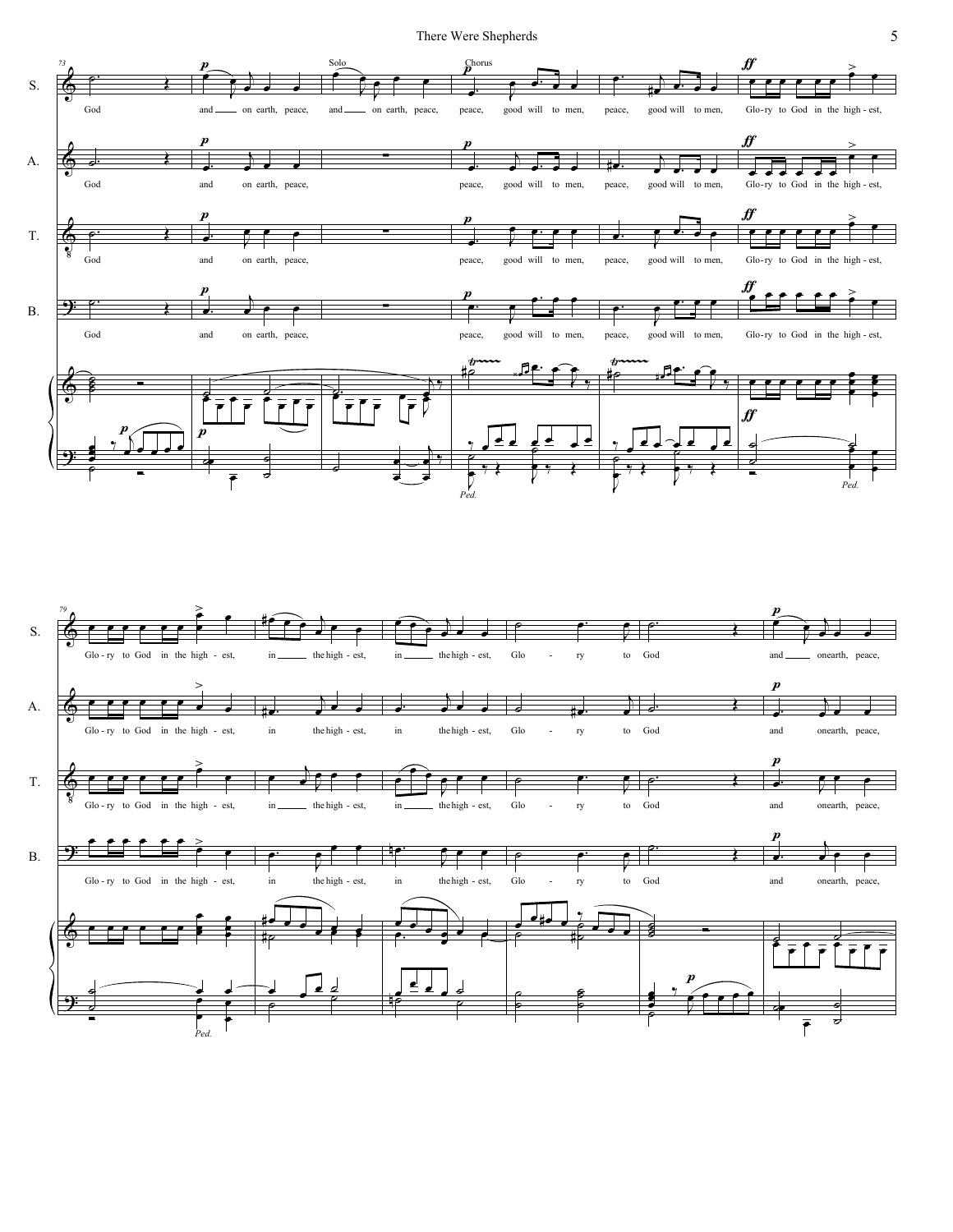